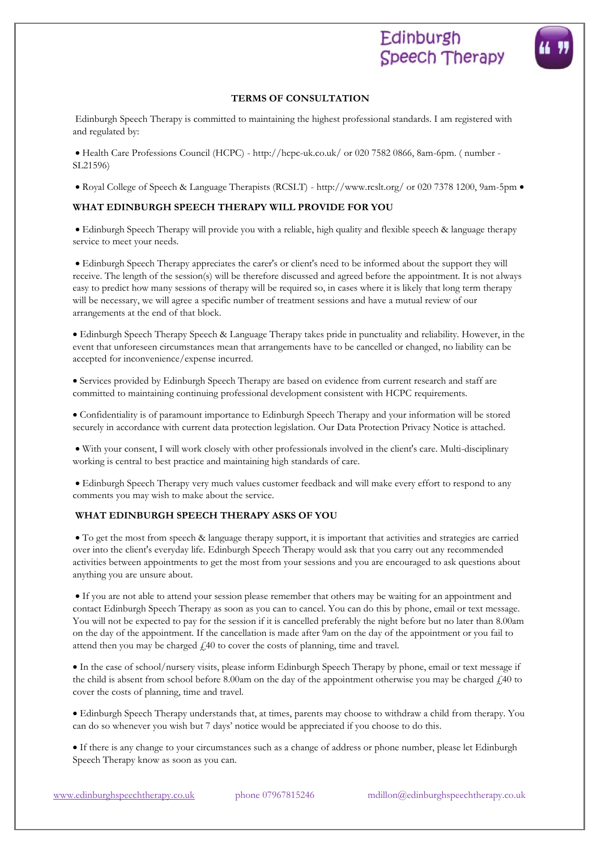# Edinburgh **Speech Therapy**

Edinburgh Speech Therapy is committed to maintaining the highest professional standards. I am registered with and regulated by:

• Health Care Professions Council (HCPC) - http://hcpc-uk.co.uk/ or 020 7582 0866, 8am-6pm. ( number - SL21596)

• Royal College of Speech & Language Therapists (RCSLT) - http://www.rcslt.org/ or 020 7378 1200, 9am-5pm •

# **WHAT EDINBURGH SPEECH THERAPY WILL PROVIDE FOR YOU**

• Edinburgh Speech Therapy will provide you with a reliable, high quality and flexible speech & language therapy service to meet your needs.

• Edinburgh Speech Therapy appreciates the carer's or client's need to be informed about the support they will receive. The length of the session(s) will be therefore discussed and agreed before the appointment. It is not always easy to predict how many sessions of therapy will be required so, in cases where it is likely that long term therapy will be necessary, we will agree a specific number of treatment sessions and have a mutual review of our arrangements at the end of that block.

• Edinburgh Speech Therapy Speech & Language Therapy takes pride in punctuality and reliability. However, in the event that unforeseen circumstances mean that arrangements have to be cancelled or changed, no liability can be accepted for inconvenience/expense incurred.

• Services provided by Edinburgh Speech Therapy are based on evidence from current research and staff are committed to maintaining continuing professional development consistent with HCPC requirements.

• Confidentiality is of paramount importance to Edinburgh Speech Therapy and your information will be stored securely in accordance with current data protection legislation. Our Data Protection Privacy Notice is attached.

• With your consent, I will work closely with other professionals involved in the client's care. Multi-disciplinary working is central to best practice and maintaining high standards of care.

• Edinburgh Speech Therapy very much values customer feedback and will make every effort to respond to any comments you may wish to make about the service.

# **WHAT EDINBURGH SPEECH THERAPY ASKS OF YOU**

• To get the most from speech & language therapy support, it is important that activities and strategies are carried over into the client's everyday life. Edinburgh Speech Therapy would ask that you carry out any recommended activities between appointments to get the most from your sessions and you are encouraged to ask questions about anything you are unsure about.

• If you are not able to attend your session please remember that others may be waiting for an appointment and contact Edinburgh Speech Therapy as soon as you can to cancel. You can do this by phone, email or text message. You will not be expected to pay for the session if it is cancelled preferably the night before but no later than 8.00am on the day of the appointment. If the cancellation is made after 9am on the day of the appointment or you fail to attend then you may be charged  $\text{\textsterling}40$  to cover the costs of planning, time and travel.

• In the case of school/nursery visits, please inform Edinburgh Speech Therapy by phone, email or text message if the child is absent from school before 8.00am on the day of the appointment otherwise you may be charged  $\ell$ 40 to cover the costs of planning, time and travel.

• Edinburgh Speech Therapy understands that, at times, parents may choose to withdraw a child from therapy. You can do so whenever you wish but 7 days' notice would be appreciated if you choose to do this.

• If there is any change to your circumstances such as a change of address or phone number, please let Edinburgh Speech Therapy know as soon as you can.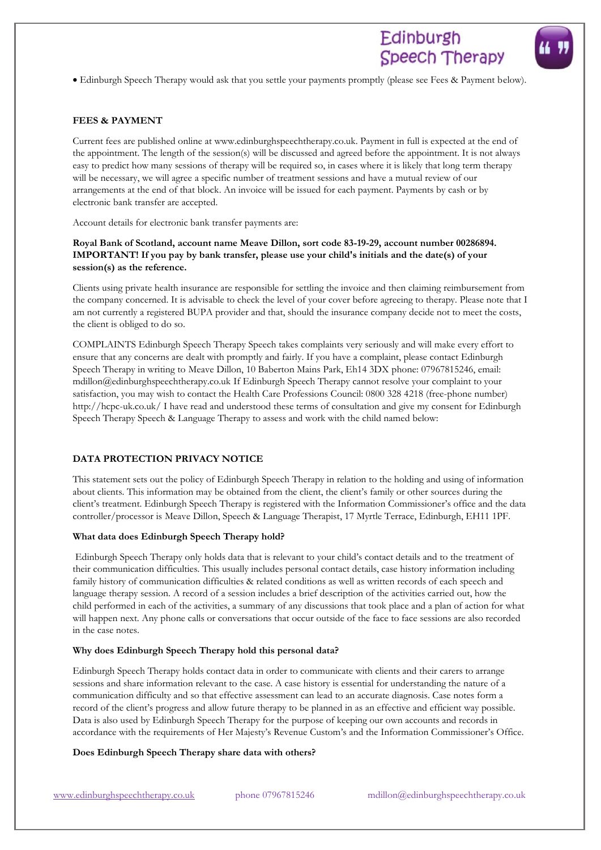• Edinburgh Speech Therapy would ask that you settle your payments promptly (please see Fees & Payment below).

## **FEES & PAYMENT**

Current fees are published online at www.edinburghspeechtherapy.co.uk. Payment in full is expected at the end of the appointment. The length of the session(s) will be discussed and agreed before the appointment. It is not always easy to predict how many sessions of therapy will be required so, in cases where it is likely that long term therapy will be necessary, we will agree a specific number of treatment sessions and have a mutual review of our arrangements at the end of that block. An invoice will be issued for each payment. Payments by cash or by electronic bank transfer are accepted.

Account details for electronic bank transfer payments are:

## **Royal Bank of Scotland, account name Meave Dillon, sort code 83-19-29, account number 00286894. IMPORTANT! If you pay by bank transfer, please use your child's initials and the date(s) of your session(s) as the reference.**

Clients using private health insurance are responsible for settling the invoice and then claiming reimbursement from the company concerned. It is advisable to check the level of your cover before agreeing to therapy. Please note that I am not currently a registered BUPA provider and that, should the insurance company decide not to meet the costs, the client is obliged to do so.

COMPLAINTS Edinburgh Speech Therapy Speech takes complaints very seriously and will make every effort to ensure that any concerns are dealt with promptly and fairly. If you have a complaint, please contact Edinburgh Speech Therapy in writing to Meave Dillon, 10 Baberton Mains Park, Eh14 3DX phone: 07967815246, email: mdillon@edinburghspeechtherapy.co.uk If Edinburgh Speech Therapy cannot resolve your complaint to your satisfaction, you may wish to contact the Health Care Professions Council: 0800 328 4218 (free-phone number) http://hcpc-uk.co.uk/ I have read and understood these terms of consultation and give my consent for Edinburgh Speech Therapy Speech & Language Therapy to assess and work with the child named below:

## **DATA PROTECTION PRIVACY NOTICE**

This statement sets out the policy of Edinburgh Speech Therapy in relation to the holding and using of information about clients. This information may be obtained from the client, the client's family or other sources during the client's treatment. Edinburgh Speech Therapy is registered with the Information Commissioner's office and the data controller/processor is Meave Dillon, Speech & Language Therapist, 17 Myrtle Terrace, Edinburgh, EH11 1PF.

## **What data does Edinburgh Speech Therapy hold?**

Edinburgh Speech Therapy only holds data that is relevant to your child's contact details and to the treatment of their communication difficulties. This usually includes personal contact details, case history information including family history of communication difficulties & related conditions as well as written records of each speech and language therapy session. A record of a session includes a brief description of the activities carried out, how the child performed in each of the activities, a summary of any discussions that took place and a plan of action for what will happen next. Any phone calls or conversations that occur outside of the face to face sessions are also recorded in the case notes.

#### **Why does Edinburgh Speech Therapy hold this personal data?**

Edinburgh Speech Therapy holds contact data in order to communicate with clients and their carers to arrange sessions and share information relevant to the case. A case history is essential for understanding the nature of a communication difficulty and so that effective assessment can lead to an accurate diagnosis. Case notes form a record of the client's progress and allow future therapy to be planned in as an effective and efficient way possible. Data is also used by Edinburgh Speech Therapy for the purpose of keeping our own accounts and records in accordance with the requirements of Her Majesty's Revenue Custom's and the Information Commissioner's Office.

#### **Does Edinburgh Speech Therapy share data with others?**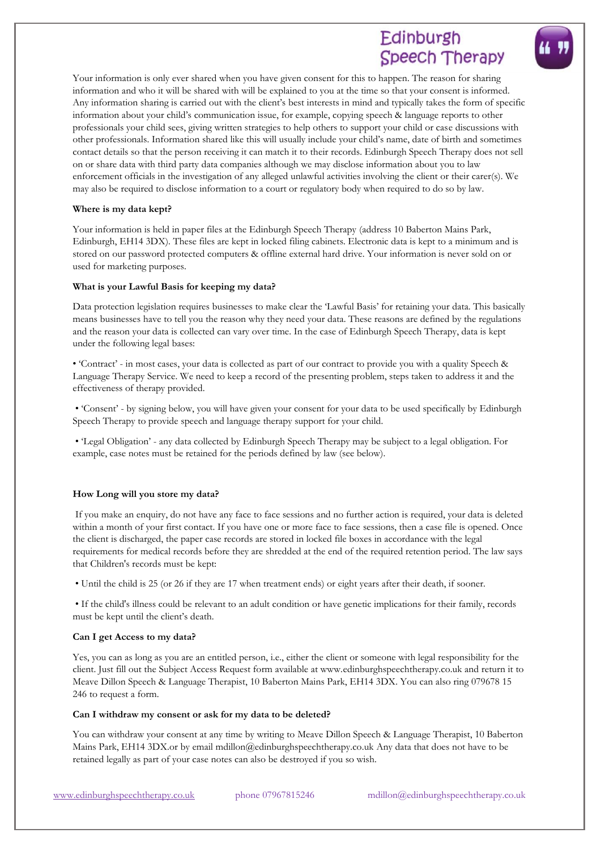# Edinburgh Speech Therapy

Your information is only ever shared when you have given consent for this to happen. The reason for sharing information and who it will be shared with will be explained to you at the time so that your consent is informed. Any information sharing is carried out with the client's best interests in mind and typically takes the form of specific information about your child's communication issue, for example, copying speech & language reports to other professionals your child sees, giving written strategies to help others to support your child or case discussions with other professionals. Information shared like this will usually include your child's name, date of birth and sometimes contact details so that the person receiving it can match it to their records. Edinburgh Speech Therapy does not sell on or share data with third party data companies although we may disclose information about you to law enforcement officials in the investigation of any alleged unlawful activities involving the client or their carer(s). We may also be required to disclose information to a court or regulatory body when required to do so by law.

### **Where is my data kept?**

Your information is held in paper files at the Edinburgh Speech Therapy (address 10 Baberton Mains Park, Edinburgh, EH14 3DX). These files are kept in locked filing cabinets. Electronic data is kept to a minimum and is stored on our password protected computers & offline external hard drive. Your information is never sold on or used for marketing purposes.

## **What is your Lawful Basis for keeping my data?**

Data protection legislation requires businesses to make clear the 'Lawful Basis' for retaining your data. This basically means businesses have to tell you the reason why they need your data. These reasons are defined by the regulations and the reason your data is collected can vary over time. In the case of Edinburgh Speech Therapy, data is kept under the following legal bases:

• 'Contract' - in most cases, your data is collected as part of our contract to provide you with a quality Speech & Language Therapy Service. We need to keep a record of the presenting problem, steps taken to address it and the effectiveness of therapy provided.

• 'Consent' - by signing below, you will have given your consent for your data to be used specifically by Edinburgh Speech Therapy to provide speech and language therapy support for your child.

• 'Legal Obligation' - any data collected by Edinburgh Speech Therapy may be subject to a legal obligation. For example, case notes must be retained for the periods defined by law (see below).

## **How Long will you store my data?**

If you make an enquiry, do not have any face to face sessions and no further action is required, your data is deleted within a month of your first contact. If you have one or more face to face sessions, then a case file is opened. Once the client is discharged, the paper case records are stored in locked file boxes in accordance with the legal requirements for medical records before they are shredded at the end of the required retention period. The law says that Children's records must be kept:

• Until the child is 25 (or 26 if they are 17 when treatment ends) or eight years after their death, if sooner.

• If the child's illness could be relevant to an adult condition or have genetic implications for their family, records must be kept until the client's death.

#### **Can I get Access to my data?**

Yes, you can as long as you are an entitled person, i.e., either the client or someone with legal responsibility for the client. Just fill out the Subject Access Request form available at www.edinburghspeechtherapy.co.uk and return it to Meave Dillon Speech & Language Therapist, 10 Baberton Mains Park, EH14 3DX. You can also ring 079678 15 246 to request a form.

#### **Can I withdraw my consent or ask for my data to be deleted?**

You can withdraw your consent at any time by writing to Meave Dillon Speech & Language Therapist, 10 Baberton Mains Park, EH14 3DX.or by email mdillon@edinburghspeechtherapy.co.uk Any data that does not have to be retained legally as part of your case notes can also be destroyed if you so wish.